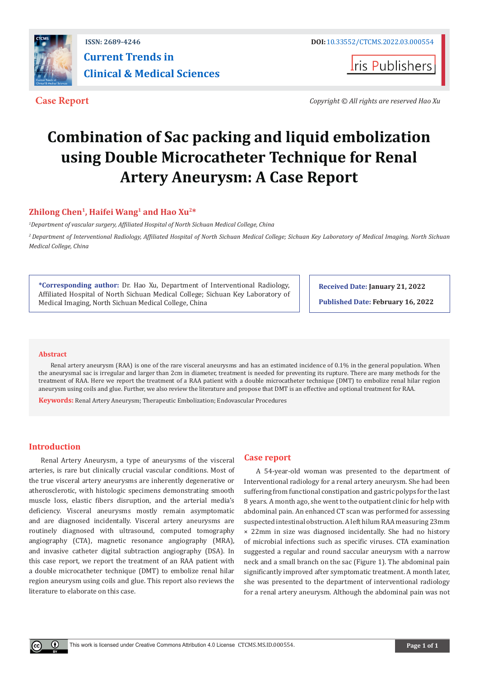

**Iris Publishers** 

**Case Report** *Copyright © All rights are reserved Hao Xu*

# **Combination of Sac packing and liquid embolization using Double Microcatheter Technique for Renal Artery Aneurysm: A Case Report**

# **Zhilong Chen1, Haifei Wang1 and Hao Xu2\***

*1 Department of vascular surgery, Affiliated Hospital of North Sichuan Medical College, China*

*<sup>2</sup>Department of Interventional Radiology, Affiliated Hospital of North Sichuan Medical College; Sichuan Key Laboratory of Medical Imaging, North Sichuan Medical College, China*

**\*Corresponding author:** Dr. Hao Xu, Department of Interventional Radiology, Affiliated Hospital of North Sichuan Medical College; Sichuan Key Laboratory of Medical Imaging, North Sichuan Medical College, China

**Received Date: January 21, 2022**

**Published Date: February 16, 2022**

## **Abstract**

Renal artery aneurysm (RAA) is one of the rare visceral aneurysms and has an estimated incidence of 0.1% in the general population. When the aneurysmal sac is irregular and larger than 2cm in diameter, treatment is needed for preventing its rupture. There are many methods for the treatment of RAA. Here we report the treatment of a RAA patient with a double microcatheter technique (DMT) to embolize renal hilar region aneurysm using coils and glue. Further, we also review the literature and propose that DMT is an effective and optional treatment for RAA.

**Keywords:** Renal Artery Aneurysm; Therapeutic Embolization; Endovascular Procedures

## **Introduction**

 $^{\circ}$ 

Renal Artery Aneurysm, a type of aneurysms of the visceral arteries, is rare but clinically crucial vascular conditions. Most of the true visceral artery aneurysms are inherently degenerative or atherosclerotic, with histologic specimens demonstrating smooth muscle loss, elastic fibers disruption, and the arterial media's deficiency. Visceral aneurysms mostly remain asymptomatic and are diagnosed incidentally. Visceral artery aneurysms are routinely diagnosed with ultrasound, computed tomography angiography (CTA), magnetic resonance angiography (MRA), and invasive catheter digital subtraction angiography (DSA). In this case report, we report the treatment of an RAA patient with a double microcatheter technique (DMT) to embolize renal hilar region aneurysm using coils and glue. This report also reviews the literature to elaborate on this case.

## **Case report**

A 54-year-old woman was presented to the department of Interventional radiology for a renal artery aneurysm. She had been suffering from functional constipation and gastric polyps for the last 8 years. A month ago, she went to the outpatient clinic for help with abdominal pain. An enhanced CT scan was performed for assessing suspected intestinal obstruction. A left hilum RAA measuring 23mm × 22mm in size was diagnosed incidentally. She had no history of microbial infections such as specific viruses. CTA examination suggested a regular and round saccular aneurysm with a narrow neck and a small branch on the sac (Figure 1). The abdominal pain significantly improved after symptomatic treatment. A month later, she was presented to the department of interventional radiology for a renal artery aneurysm. Although the abdominal pain was not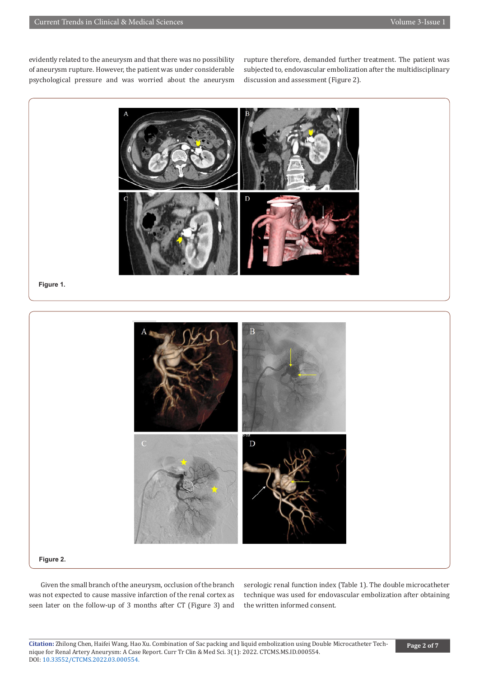evidently related to the aneurysm and that there was no possibility of aneurysm rupture. However, the patient was under considerable psychological pressure and was worried about the aneurysm rupture therefore, demanded further treatment. The patient was subjected to, endovascular embolization after the multidisciplinary discussion and assessment (Figure 2).



**Figure 1.**



#### **Figure 2.**

Given the small branch of the aneurysm, occlusion of the branch was not expected to cause massive infarction of the renal cortex as seen later on the follow-up of 3 months after CT (Figure 3) and

serologic renal function index (Table 1). The double microcatheter technique was used for endovascular embolization after obtaining the written informed consent.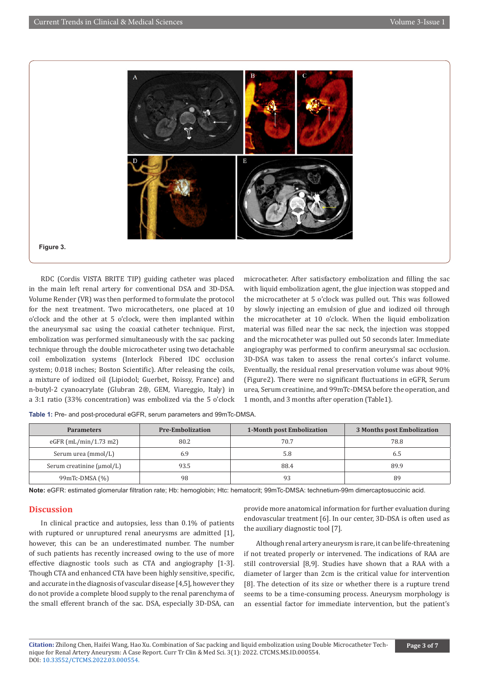

RDC (Cordis VISTA BRITE TIP) guiding catheter was placed in the main left renal artery for conventional DSA and 3D-DSA. Volume Render (VR) was then performed to formulate the protocol for the next treatment. Two microcatheters, one placed at 10 o'clock and the other at 5 o'clock, were then implanted within the aneurysmal sac using the coaxial catheter technique. First, embolization was performed simultaneously with the sac packing technique through the double microcatheter using two detachable coil embolization systems (Interlock Fibered IDC occlusion system; 0.018 inches; Boston Scientific). After releasing the coils, a mixture of iodized oil (Lipiodol; Guerbet, Roissy, France) and n-butyl-2 cyanoacrylate (Glubran 2®, GEM, Viareggio, Italy) in a 3:1 ratio (33% concentration) was embolized via the 5 o'clock microcatheter. After satisfactory embolization and filling the sac with liquid embolization agent, the glue injection was stopped and the microcatheter at 5 o'clock was pulled out. This was followed by slowly injecting an emulsion of glue and iodized oil through the microcatheter at 10 o'clock. When the liquid embolization material was filled near the sac neck, the injection was stopped and the microcatheter was pulled out 50 seconds later. Immediate angiography was performed to confirm aneurysmal sac occlusion. 3D-DSA was taken to assess the renal cortex's infarct volume. Eventually, the residual renal preservation volume was about 90% (Figure2). There were no significant fluctuations in eGFR, Serum urea, Serum creatinine, and 99mTc-DMSA before the operation, and 1 month, and 3 months after operation (Table1).

| Table 1: Pre- and post-procedural eGFR, serum parameters and 99mTc-DMSA. |  |
|--------------------------------------------------------------------------|--|
|--------------------------------------------------------------------------|--|

| <b>Parameters</b>                     | <b>Pre-Embolization</b> | <b>1-Month post Embolization</b> | 3 Months post Embolization |  |
|---------------------------------------|-------------------------|----------------------------------|----------------------------|--|
| eGFR $(mL/min/1.73 m2)$               | 80.2                    | 70.7                             | 78.8                       |  |
| Serum urea (mmol/L)                   | 6.9                     | 5.8                              | რ.5                        |  |
| Serum creatinine $(\mu \text{mol/L})$ | 93.5                    | 88.4                             | 89.9                       |  |
| $99mTc-DMSA(%)$                       | 98                      | 93                               | 89                         |  |

**Note:** eGFR: estimated glomerular filtration rate; Hb: hemoglobin; Htc: hematocrit; 99mTc-DMSA: technetium-99m dimercaptosuccinic acid.

# **Discussion**

In clinical practice and autopsies, less than 0.1% of patients with ruptured or unruptured renal aneurysms are admitted [1], however, this can be an underestimated number. The number of such patients has recently increased owing to the use of more effective diagnostic tools such as CTA and angiography [1-3]. Though CTA and enhanced CTA have been highly sensitive, specific, and accurate in the diagnosis of vascular disease [4,5], however they do not provide a complete blood supply to the renal parenchyma of the small efferent branch of the sac. DSA, especially 3D-DSA, can

provide more anatomical information for further evaluation during endovascular treatment [6]. In our center, 3D-DSA is often used as the auxiliary diagnostic tool [7].

Although renal artery aneurysm is rare, it can be life-threatening if not treated properly or intervened. The indications of RAA are still controversial [8,9]. Studies have shown that a RAA with a diameter of larger than 2cm is the critical value for intervention [8]. The detection of its size or whether there is a rupture trend seems to be a time-consuming process. Aneurysm morphology is an essential factor for immediate intervention, but the patient's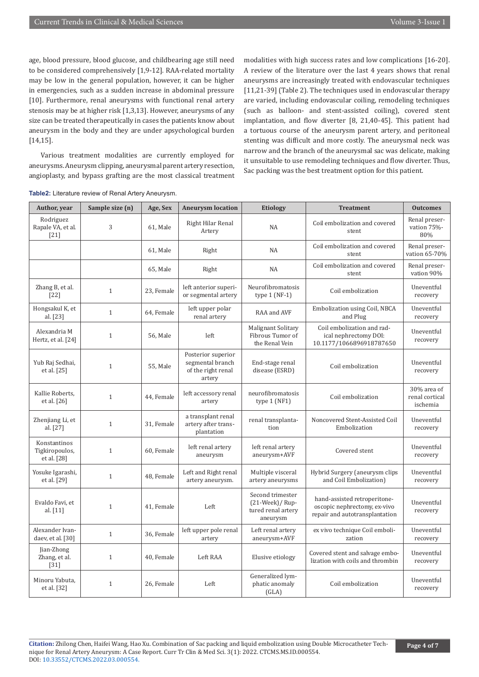age, blood pressure, blood glucose, and childbearing age still need to be considered comprehensively [1,9-12]. RAA-related mortality may be low in the general population, however, it can be higher in emergencies, such as a sudden increase in abdominal pressure [10]. Furthermore, renal aneurysms with functional renal artery stenosis may be at higher risk [1,3,13]. However, aneurysms of any size can be treated therapeutically in cases the patients know about aneurysm in the body and they are under apsychological burden [14,15].

Various treatment modalities are currently employed for aneurysms. Aneurysm clipping, aneurysmal parent artery resection, angioplasty, and bypass grafting are the most classical treatment

modalities with high success rates and low complications [16-20]. A review of the literature over the last 4 years shows that renal aneurysms are increasingly treated with endovascular techniques [11,21-39] (Table 2). The techniques used in endovascular therapy are varied, including endovascular coiling, remodeling techniques (such as balloon- and stent-assisted coiling), covered stent implantation, and flow diverter [8, 21,40-45]. This patient had a tortuous course of the aneurysm parent artery, and peritoneal stenting was difficult and more costly. The aneurysmal neck was narrow and the branch of the aneurysmal sac was delicate, making it unsuitable to use remodeling techniques and flow diverter. Thus, Sac packing was the best treatment option for this patient.

| Author, year                                  | Sample size (n) | Age, Sex   | <b>Aneurysm location</b>                                               | <b>Etiology</b>                                                        | <b>Treatment</b>                                                                               | <b>Outcomes</b>                           |
|-----------------------------------------------|-----------------|------------|------------------------------------------------------------------------|------------------------------------------------------------------------|------------------------------------------------------------------------------------------------|-------------------------------------------|
| Rodriguez<br>Rapale VA, et al.<br>$[21]$      | 3               | 61, Male   | Right Hilar Renal<br>Artery                                            | NA                                                                     | Coil embolization and covered<br>stent                                                         | Renal preser-<br>vation 75%-<br>80%       |
|                                               |                 | 61, Male   | Right                                                                  | NA                                                                     | Coil embolization and covered<br>stent                                                         | Renal preser-<br>vation 65-70%            |
|                                               |                 | 65, Male   | Right                                                                  | <b>NA</b>                                                              | Coil embolization and covered<br>stent                                                         | Renal preser-<br>vation 90%               |
| Zhang B, et al.<br>$[22]$                     | $\mathbf{1}$    | 23, Female | left anterior superi-<br>or segmental artery                           | Neurofibromatosis<br>type $1(NF-1)$                                    | Coil embolization                                                                              | Uneventful<br>recovery                    |
| Hongsakul K, et<br>al. [23]                   | $\mathbf{1}$    | 64, Female | left upper polar<br>renal artery                                       | RAA and AVF                                                            | Embolization using Coil, NBCA<br>and Plug                                                      | Uneventful<br>recovery                    |
| Alexandria M<br>Hertz, et al. [24]            | $\mathbf{1}$    | 56, Male   | left                                                                   | Malignant Solitary<br>Fibrous Tumor of<br>the Renal Vein               | Coil embolization and rad-<br>ical nephrectomy DOI:<br>10.1177/1066896918787650                | Uneventful<br>recovery                    |
| Yub Raj Sedhai,<br>et al. [25]                | $\mathbf{1}$    | 55, Male   | Posterior superior<br>segmental branch<br>of the right renal<br>artery | End-stage renal<br>disease (ESRD)                                      | Coil embolization                                                                              | Uneventful<br>recovery                    |
| Kallie Roberts,<br>et al. $[26]$              | $\mathbf{1}$    | 44, Female | left accessory renal<br>artery                                         | neurofibromatosis<br>type $1(NF1)$                                     | Coil embolization                                                                              | 30% area of<br>renal cortical<br>ischemia |
| Zhenjiang Li, et<br>al. [27]                  | $\mathbf{1}$    | 31, Female | a transplant renal<br>artery after trans-<br>plantation                | renal transplanta-<br>tion                                             | Noncovered Stent-Assisted Coil<br>Embolization                                                 | Uneventful<br>recovery                    |
| Konstantinos<br>Tigkiropoulos,<br>et al. [28] | $\mathbf{1}$    | 60, Female | left renal artery<br>aneurysm                                          | left renal artery<br>aneurysm+AVF                                      | Covered stent                                                                                  | Uneventful<br>recovery                    |
| Yosuke Igarashi,<br>et al. [29]               | $\mathbf{1}$    | 48, Female | Left and Right renal<br>artery aneurysm.                               | Multiple visceral<br>artery aneurysms                                  | Hybrid Surgery (aneurysm clips<br>and Coil Embolization)                                       | Uneventful<br>recovery                    |
| Evaldo Favi, et<br>al. [11]                   | $\mathbf{1}$    | 41, Female | Left                                                                   | Second trimester<br>$(21-Week)/Rup-$<br>tured renal artery<br>aneurysm | hand-assisted retroperitone-<br>oscopic nephrectomy, ex-vivo<br>repair and autotransplantation | Uneventful<br>recovery                    |
| Alexander Ivan-<br>daev, et al. [30]          | $\mathbf{1}$    | 36, Female | left upper pole renal<br>artery                                        | Left renal artery<br>aneurysm+AVF                                      | ex vivo technique Coil emboli-<br>zation                                                       | Uneventful<br>recovery                    |
| Jian-Zhong<br>Zhang, et al.<br>$[31]$         | $\mathbf{1}$    | 40, Female | Left RAA                                                               | Elusive etiology                                                       | Covered stent and salvage embo-<br>lization with coils and thrombin                            | Uneventful<br>recovery                    |
| Minoru Yabuta,<br>et al. [32]                 | $\mathbf{1}$    | 26, Female | Left                                                                   | Generalized lym-<br>phatic anomaly<br>(GLA)                            | Coil embolization                                                                              | Uneventful<br>recovery                    |

**Table2:** Literature review of Renal Artery Aneurysm.

**Citation:** Zhilong Chen, Haifei Wang, Hao Xu. Combination of Sac packing and liquid embolization using Double Microcatheter Technique for Renal Artery Aneurysm: A Case Report. Curr Tr Clin & Med Sci. 3(1): 2022. CTCMS.MS.ID.000554. DOI: [10.33552/CTCMS.2022.03.000554.](http://dx.doi.org/10.33552/CTCSE.2022.03.000554)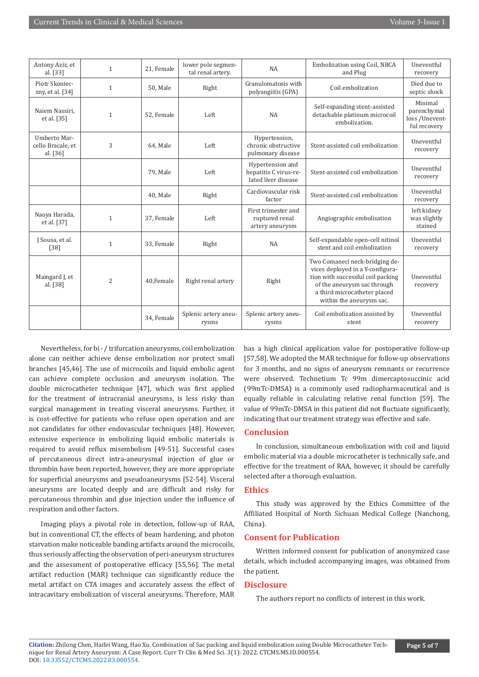| Antony Aziz, et<br>al. [33]                     | $\mathbf{1}$   | 21, Female | lower pole segmen-<br>tal renal artery. | NA                                                               | Embolization using Coil, NBCA<br>and Plug                                                                                                                                                          | Uneventful<br>recovery                                   |
|-------------------------------------------------|----------------|------------|-----------------------------------------|------------------------------------------------------------------|----------------------------------------------------------------------------------------------------------------------------------------------------------------------------------------------------|----------------------------------------------------------|
| Piotr Skoniec-<br>zny, et al. $[34]$            | $\mathbf{1}$   | 50, Male   | Right                                   | Granulomatosis with<br>polyangiitis (GPA)                        | Coil embolization                                                                                                                                                                                  | Died due to<br>septic shock                              |
| Naiem Nassiri.<br>et al. [35]                   | $\mathbf{1}$   | 52. Female | Left                                    | <b>NA</b>                                                        | Self-expanding stent-assisted<br>detachable platinum microcoil<br>embolization.                                                                                                                    | Minimal<br>parenchymal<br>loss /Unevent-<br>ful recovery |
| Umberto Mar-<br>cello Bracale, et<br>al. $[36]$ | 3              | 64, Male   | Left                                    | Hypertension,<br>chronic obstructive<br>pulmonary disease        | Stent-assisted coil embolization                                                                                                                                                                   | Uneventful<br>recovery                                   |
|                                                 |                | 79, Male   | Left                                    | Hypertension and<br>hepatitis C virus-re-<br>lated liver disease | Stent-assisted coil embolization                                                                                                                                                                   | Uneventful<br>recovery                                   |
|                                                 |                | 40, Male   | Right                                   | Cardiovascular risk<br>factor                                    | Stent-assisted coil embolization                                                                                                                                                                   | Uneventful<br>recovery                                   |
| Naoya Harada,<br>et al. [37]                    | $\mathbf{1}$   | 37, Female | Left                                    | First trimester and<br>ruptured renal<br>artery aneurysm         | Angiographic embolisation                                                                                                                                                                          | left kidney<br>was slightly<br>stained                   |
| J Sousa, et al.<br>$[38]$                       | 1              | 33, Female | Right                                   | NA                                                               | Self-expandable open-cell nitinol<br>stent and coil embolization                                                                                                                                   | Uneventful<br>recovery                                   |
| Maingard J, et<br>al. [38]                      | $\overline{2}$ | 40.Female  | Right renal artery                      | Right                                                            | Two Comaneci neck-bridging de-<br>vices deployed in a Y-configura-<br>tion with successful coil packing<br>of the aneurysm sac through<br>a third microcatheter placed<br>within the aneurysm sac. | Uneventful<br>recovery                                   |
|                                                 |                | 34, Female | Splenic artery aneu-<br>rysms           | Splenic artery aneu-<br>rysms                                    | Coil embolization assisted by<br>stent                                                                                                                                                             | Uneventful<br>recovery                                   |

Nevertheless, for bi - / trifurcation aneurysms, coil embolization alone can neither achieve dense embolization nor protect small branches [45,46]. The use of microcoils and liquid embolic agent can achieve complete occlusion and aneurysm isolation. The double microcatheter technique [47], which was first applied for the treatment of intracranial aneurysms, is less risky than surgical management in treating visceral aneurysms. Further, it is cost-effective for patients who refuse open operation and are not candidates for other endovascular techniques [48]. However, extensive experience in embolizing liquid embolic materials is required to avoid reflux misembolism [49-51]. Successful cases of percutaneous direct intra-aneurysmal injection of glue or thrombin have been reported, however, they are more appropriate for superficial aneurysms and pseudoaneurysms [52-54]. Visceral aneurysms are located deeply and are difficult and risky for percutaneous thrombin and glue injection under the influence of respiration and other factors.

Imaging plays a pivotal role in detection, follow-up of RAA, but in conventional CT, the effects of beam hardening, and photon starvation make noticeable banding artifacts around the microcoils, thus seriously affecting the observation of peri-aneurysm structures and the assessment of postoperative efficacy [55,56]. The metal artifact reduction (MAR) technique can significantly reduce the metal artifact on CTA images and accurately assess the effect of intracavitary embolization of visceral aneurysms. Therefore, MAR

has a high clinical application value for postoperative follow-up [57,58]. We adopted the MAR technique for follow-up observations for 3 months, and no signs of aneurysm remnants or recurrence were observed. Technetium Tc 99m dimercaptosuccinic acid (99mTc-DMSA) is a commonly used radiopharmaceutical and is equally reliable in calculating relative renal function [59]. The value of 99mTc-DMSA in this patient did not fluctuate significantly, indicating that our treatment strategy was effective and safe.

## **Conclusion**

In conclusion, simultaneous embolization with coil and liquid embolic material via a double microcatheter is technically safe, and effective for the treatment of RAA, however, it should be carefully selected after a thorough evaluation.

## **Ethics**

This study was approved by the Ethics Committee of the Affiliated Hospital of North Sichuan Medical College (Nanchong, China).

## **Consent for Publication**

Written informed consent for publication of anonymized case details, which included accompanying images, was obtained from the patient.

## **Disclosure**

The authors report no conflicts of interest in this work.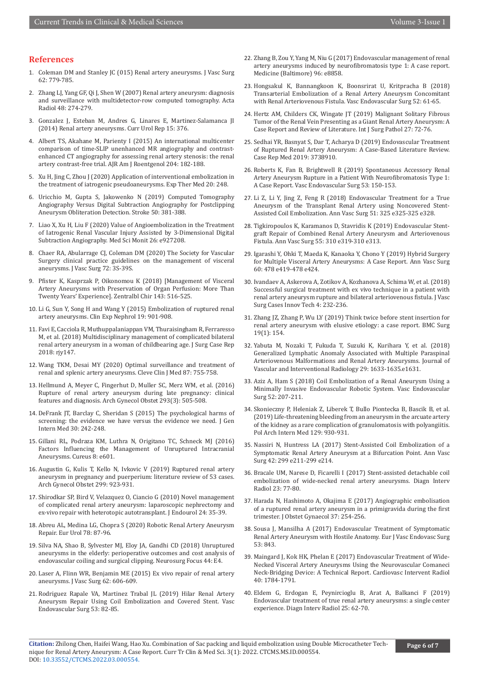## **References**

- 1. [Coleman DM and Stanley JC \(015\) Renal artery aneurysms. J Vasc Surg](https://pubmed.ncbi.nlm.nih.gov/26213273/)  [62: 779-785.](https://pubmed.ncbi.nlm.nih.gov/26213273/)
- 2. [Zhang LJ, Yang GF, Qi J, Shen W \(2007\) Renal artery aneurysm: diagnosis](https://pubmed.ncbi.nlm.nih.gov/17453495/)  [and surveillance with multidetector-row computed tomography. Acta](https://pubmed.ncbi.nlm.nih.gov/17453495/)  [Radiol 48: 274-279.](https://pubmed.ncbi.nlm.nih.gov/17453495/)
- 3. [Gonzalez J, Esteban M, Andres G, Linares E, Martinez-Salamanca JI](https://pubmed.ncbi.nlm.nih.gov/24363127/)  [\(2014\) Renal artery aneurysms. Curr Urol Rep 15: 376.](https://pubmed.ncbi.nlm.nih.gov/24363127/)
- 4. [Albert TS, Akahane M, Parienty I \(2015\) An international multicenter](https://pubmed.ncbi.nlm.nih.gov/25539255/)  [comparison of time-SLIP unenhanced MR angiography and contrast](https://pubmed.ncbi.nlm.nih.gov/25539255/)[enhanced CT angiography for assessing renal artery stenosis: the renal](https://pubmed.ncbi.nlm.nih.gov/25539255/)  [artery contrast-free trial. AJR Am J Roentgenol 204: 182-188.](https://pubmed.ncbi.nlm.nih.gov/25539255/)
- 5. [Xu H, Jing C, Zhou J \(2020\) Application of interventional embolization in](https://pubmed.ncbi.nlm.nih.gov/33178346/)  [the treatment of iatrogenic pseudoaneurysms. Exp Ther Med 20: 248.](https://pubmed.ncbi.nlm.nih.gov/33178346/)
- 6. [Uricchio M, Gupta S, Jakowenko N \(2019\) Computed Tomography](https://pubmed.ncbi.nlm.nih.gov/30661494/)  [Angiography Versus Digital Subtraction Angiography for Postclipping](https://pubmed.ncbi.nlm.nih.gov/30661494/)  [Aneurysm Obliteration Detection. Stroke 50: 381-388.](https://pubmed.ncbi.nlm.nih.gov/30661494/)
- 7. [Liao X, Xu H, Liu F \(2020\) Value of Angioembolization in the Treatment](https://pubmed.ncbi.nlm.nih.gov/32877388/)  [of Iatrogenic Renal Vascular Injury Assisted by 3-Dimensional Digital](https://pubmed.ncbi.nlm.nih.gov/32877388/)  [Subtraction Angiography. Med Sci Monit 26: e927208.](https://pubmed.ncbi.nlm.nih.gov/32877388/)
- 8. [Chaer RA, Abularrage CJ, Coleman DM \(2020\) The Society for Vascular](https://pubmed.ncbi.nlm.nih.gov/32201007/)  [Surgery clinical practice guidelines on the management of visceral](https://pubmed.ncbi.nlm.nih.gov/32201007/)  [aneurysms. J Vasc Surg 72: 3S-39S.](https://pubmed.ncbi.nlm.nih.gov/32201007/)
- 9. [Pfister K, Kasprzak P, Oikonomou K \(2018\) \[Management of Visceral](https://pubmed.ncbi.nlm.nih.gov/30357795/)  [Artery Aneurysms with Preservation of Organ Perfusion: More Than](https://pubmed.ncbi.nlm.nih.gov/30357795/)  [Twenty Years' Experience\]. Zentralbl Chir 143: 516-525.](https://pubmed.ncbi.nlm.nih.gov/30357795/)
- 10. [Li G, Sun Y, Song H and Wang Y \(2015\) Embolization of ruptured renal](https://pubmed.ncbi.nlm.nih.gov/25618494/)  [artery aneurysms. Clin Exp Nephrol 19: 901-908.](https://pubmed.ncbi.nlm.nih.gov/25618494/)
- 11. [Favi E, Cacciola R, Muthuppalaniappan VM, Thuraisingham R, Ferraresso](https://pubmed.ncbi.nlm.nih.gov/29992003/)  [M, et al. \(2018\) Multidisciplinary management of complicated bilateral](https://pubmed.ncbi.nlm.nih.gov/29992003/)  [renal artery aneurysm in a woman of childbearing age. J Surg Case Rep](https://pubmed.ncbi.nlm.nih.gov/29992003/)  2018: riv147.
- 12. [Wang TKM, Desai MY \(2020\) Optimal surveillance and treatment of](https://pubmed.ncbi.nlm.nih.gov/33229392/)  [renal and splenic artery aneurysms. Cleve Clin J Med 87: 755-758.](https://pubmed.ncbi.nlm.nih.gov/33229392/)
- 13. [Hellmund A, Meyer C, Fingerhut D, Muller SC, Merz WM, et al. \(2016\)](https://pubmed.ncbi.nlm.nih.gov/26646987/)  [Rupture of renal artery aneurysm during late pregnancy: clinical](https://pubmed.ncbi.nlm.nih.gov/26646987/)  [features and diagnosis. Arch Gynecol Obstet 293\(3\): 505-508.](https://pubmed.ncbi.nlm.nih.gov/26646987/)
- 14. [DeFrank JT, Barclay C, Sheridan S \(2015\) The psychological harms of](https://pubmed.ncbi.nlm.nih.gov/25150033/)  [screening: the evidence we have versus the evidence we need. J Gen](https://pubmed.ncbi.nlm.nih.gov/25150033/)  [Intern Med 30: 242-248.](https://pubmed.ncbi.nlm.nih.gov/25150033/)
- 15. [Gillani RL, Podraza KM, Luthra N, Origitano TC, Schneck MJ \(2016\)](https://pubmed.ncbi.nlm.nih.gov/27335713/)  [Factors Influencing the Management of Unruptured Intracranial](https://pubmed.ncbi.nlm.nih.gov/27335713/)  [Aneurysms. Cureus 8: e601.](https://pubmed.ncbi.nlm.nih.gov/27335713/)
- 16. [Augustin G, Kulis T, Kello N, Ivkovic V \(2019\) Ruptured renal artery](https://pubmed.ncbi.nlm.nih.gov/30739174/)  [aneurysm in pregnancy and puerperium: literature review of 53 cases.](https://pubmed.ncbi.nlm.nih.gov/30739174/)  [Arch Gynecol Obstet 299: 923-931.](https://pubmed.ncbi.nlm.nih.gov/30739174/)
- 17. [Shirodkar SP, Bird V, Velazquez O, Ciancio G \(2010\) Novel management](https://pubmed.ncbi.nlm.nih.gov/19958150/)  [of complicated renal artery aneurysm: laparoscopic nephrectomy and](https://pubmed.ncbi.nlm.nih.gov/19958150/)  [ex-vivo repair with heterotopic autotransplant. J Endourol 24: 35-39.](https://pubmed.ncbi.nlm.nih.gov/19958150/)
- 18. [Abreu AL, Medina LG, Chopra S \(2020\) Robotic Renal Artery Aneurysm](https://pubmed.ncbi.nlm.nih.gov/31248606/)  [Repair. Eur Urol 78: 87-96.](https://pubmed.ncbi.nlm.nih.gov/31248606/)
- 19. [Silva NA, Shao B, Sylvester MJ, Eloy JA, Gandhi CD \(2018\) Unruptured](https://pubmed.ncbi.nlm.nih.gov/29712518/)  [aneurysms in the elderly: perioperative outcomes and cost analysis of](https://pubmed.ncbi.nlm.nih.gov/29712518/)  [endovascular coiling and surgical clipping. Neurosurg Focus 44: E4.](https://pubmed.ncbi.nlm.nih.gov/29712518/)
- 20. [Laser A, Flinn WR, Benjamin ME \(2015\) Ex vivo repair of renal artery](https://pubmed.ncbi.nlm.nih.gov/26304479/)  [aneurysms. J Vasc Surg 62: 606-609.](https://pubmed.ncbi.nlm.nih.gov/26304479/)
- 21. [Rodriguez Rapale VA, Martinez Trabal JL \(2019\) Hilar Renal Artery](https://pubmed.ncbi.nlm.nih.gov/30180784/)  [Aneurysm Repair Using Coil Embolization and Covered Stent. Vasc](https://pubmed.ncbi.nlm.nih.gov/30180784/)  [Endovascular Surg 53: 82-85.](https://pubmed.ncbi.nlm.nih.gov/30180784/)
- 22. [Zhang B, Zou Y, Yang M, Niu G \(2017\) Endovascular management of renal](https://pubmed.ncbi.nlm.nih.gov/29382000/) [artery aneurysms induced by neurofibromatosis type 1: A case report.](https://pubmed.ncbi.nlm.nih.gov/29382000/) [Medicine \(Baltimore\) 96: e8858.](https://pubmed.ncbi.nlm.nih.gov/29382000/)
- 23. [Hongsakul K, Bannangkoon K, Boonsrirat U, Kritpracha B \(2018\)](https://pubmed.ncbi.nlm.nih.gov/29130854/) [Transarterial Embolization of a Renal Artery Aneurysm Concomitant](https://pubmed.ncbi.nlm.nih.gov/29130854/) [with Renal Arteriovenous Fistula. Vasc Endovascular Surg 52: 61-65.](https://pubmed.ncbi.nlm.nih.gov/29130854/)
- 24. [Hertz AM, Childers CK, Wingate JT \(2019\) Malignant Solitary Fibrous](https://pubmed.ncbi.nlm.nih.gov/29992862/) [Tumor of the Renal Vein Presenting as a Giant Renal Artery Aneurysm: A](https://pubmed.ncbi.nlm.nih.gov/29992862/) [Case Report and Review of Literature. Int J Surg Pathol 27: 72-76.](https://pubmed.ncbi.nlm.nih.gov/29992862/)
- 25. [Sedhai YR, Basnyat S, Dar T, Acharya D \(2019\) Endovascular Treatment](https://pubmed.ncbi.nlm.nih.gov/30881459/) [of Ruptured Renal Artery Aneurysm: A Case-Based Literature Review.](https://pubmed.ncbi.nlm.nih.gov/30881459/) [Case Rep Med 2019: 3738910.](https://pubmed.ncbi.nlm.nih.gov/30881459/)
- 26. [Roberts K, Fan B, Brightwell R \(2019\) Spontaneous Accessory Renal](https://pubmed.ncbi.nlm.nih.gov/30223725/) [Artery Aneurysm Rupture in a Patient With Neurofibromatosis Type 1:](https://pubmed.ncbi.nlm.nih.gov/30223725/) [A Case Report. Vasc Endovascular Surg 53: 150-153.](https://pubmed.ncbi.nlm.nih.gov/30223725/)
- 27. [Li Z, Li Y, Jing Z, Feng R \(2018\) Endovascular Treatment for a True](https://pubmed.ncbi.nlm.nih.gov/29758329/) [Aneurysm of the Transplant Renal Artery using Noncovered Stent-](https://pubmed.ncbi.nlm.nih.gov/29758329/)[Assisted Coil Embolization. Ann Vasc Surg 51: 325 e325-325 e328.](https://pubmed.ncbi.nlm.nih.gov/29758329/)
- 28. [Tigkiropoulos K, Karamanos D, Stavridis K \(2019\) Endovascular Stent](https://pubmed.ncbi.nlm.nih.gov/30287294/)[graft Repair of Combined Renal Artery Aneurysm and Arteriovenous](https://pubmed.ncbi.nlm.nih.gov/30287294/) [Fistula. Ann Vasc Surg 55: 310 e319-310 e313.](https://pubmed.ncbi.nlm.nih.gov/30287294/)
- 29. Igarashi Y, Ohki T, Maeda K, Kanaoka Y, Chono Y (2019) Hybrid Surgery for Multiple Visceral Artery Aneurysms: A Case Report. Ann Vasc Surg 60: 478 e419-478 e424.
- 30. [Ivandaev A, Askerova A, Zotikov A, Kozhanova A, Schima W, et al. \(2018\)](https://pubmed.ncbi.nlm.nih.gov/30175298/) [Successful surgical treatment with ex vivo technique in a patient with](https://pubmed.ncbi.nlm.nih.gov/30175298/) [renal artery aneurysm rupture and bilateral arteriovenous fistula. J Vasc](https://pubmed.ncbi.nlm.nih.gov/30175298/) [Surg Cases Innov Tech 4: 232-236.](https://pubmed.ncbi.nlm.nih.gov/30175298/)
- 31. [Zhang JZ, Zhang P, Wu LY \(2019\) Think twice before stent insertion for](https://pubmed.ncbi.nlm.nih.gov/31655572/) [renal artery aneurysm with elusive etiology: a case report. BMC Surg](https://pubmed.ncbi.nlm.nih.gov/31655572/) [19\(1\): 154.](https://pubmed.ncbi.nlm.nih.gov/31655572/)
- 32. Yabuta M, Nozaki T, Fukuda T, Suzuki K, Kurihara Y, et al. (2018) Generalized Lymphatic Anomaly Associated with Multiple Paraspinal Arteriovenous Malformations and Renal Artery Aneurysms. Journal of Vascular and Interventional Radiology 29: 1633-1635.e1631.
- 33. [Aziz A, Ham S \(2018\) Coil Embolization of a Renal Aneurysm Using a](https://pubmed.ncbi.nlm.nih.gov/29357753/) [Minimally Invasive Endovascular Robotic System. Vasc Endovascular](https://pubmed.ncbi.nlm.nih.gov/29357753/) [Surg 52: 207-211.](https://pubmed.ncbi.nlm.nih.gov/29357753/)
- 34. Skonieczny P, Heleniak Z, Liberek T, Bullo Piontecka B, Bascik B, et al. (2019) Life-threatening bleeding from an aneurysm in the arcuate artery of the kidney as a rare complication of granulomatosis with polyangiitis. Pol Arch Intern Med 129: 930-931.
- 35. [Nassiri N, Huntress LA \(2017\) Stent-Assisted Coil Embolization of a](https://pubmed.ncbi.nlm.nih.gov/28279720/) [Symptomatic Renal Artery Aneurysm at a Bifurcation Point. Ann Vasc](https://pubmed.ncbi.nlm.nih.gov/28279720/) [Surg 42: 299 e211-299 e214.](https://pubmed.ncbi.nlm.nih.gov/28279720/)
- 36. [Bracale UM, Narese D, Ficarelli I \(2017\) Stent-assisted detachable coil](https://pubmed.ncbi.nlm.nih.gov/27854201/) [embolization of wide-necked renal artery aneurysms. Diagn Interv](https://pubmed.ncbi.nlm.nih.gov/27854201/) [Radiol 23: 77-80.](https://pubmed.ncbi.nlm.nih.gov/27854201/)
- 37. [Harada N, Hashimoto A, Okajima E \(2017\) Angiographic embolisation](https://pubmed.ncbi.nlm.nih.gov/11770586/) [of a ruptured renal artery aneurysm in a primigravida during the first](https://pubmed.ncbi.nlm.nih.gov/11770586/) [trimester. J Obstet Gynaecol 37: 254-256.](https://pubmed.ncbi.nlm.nih.gov/11770586/)
- 38. [Sousa J, Mansilha A \(2017\) Endovascular Treatment of Symptomatic](https://pubmed.ncbi.nlm.nih.gov/21741856/) [Renal Artery Aneurysm with Hostile Anatomy. Eur J Vasc Endovasc Surg](https://pubmed.ncbi.nlm.nih.gov/21741856/) [53: 843.](https://pubmed.ncbi.nlm.nih.gov/21741856/)
- 39. [Maingard J, Kok HK, Phelan E \(2017\) Endovascular Treatment of Wide-](https://pubmed.ncbi.nlm.nih.gov/28664233/)[Necked Visceral Artery Aneurysms Using the Neurovascular Comaneci](https://pubmed.ncbi.nlm.nih.gov/28664233/) [Neck-Bridging Device: A Technical Report. Cardiovasc Intervent Radiol](https://pubmed.ncbi.nlm.nih.gov/28664233/) [40: 1784-1791.](https://pubmed.ncbi.nlm.nih.gov/28664233/)
- 40. [Eldem G, Erdogan E, Peynircioglu B, Arat A, Balkanci F \(2019\)](https://pubmed.ncbi.nlm.nih.gov/30272561/) [Endovascular treatment of true renal artery aneurysms: a single center](https://pubmed.ncbi.nlm.nih.gov/30272561/) [experience. Diagn Interv Radiol 25: 62-70.](https://pubmed.ncbi.nlm.nih.gov/30272561/)